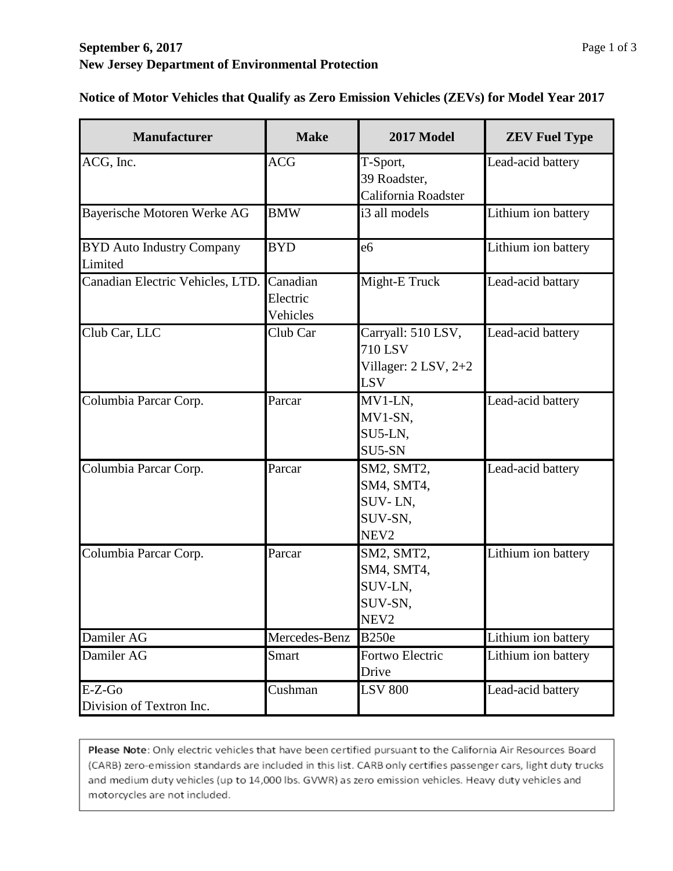| <b>Manufacturer</b>                         | <b>Make</b>                      | 2017 Model                                                                     | <b>ZEV Fuel Type</b> |
|---------------------------------------------|----------------------------------|--------------------------------------------------------------------------------|----------------------|
| ACG, Inc.                                   | <b>ACG</b>                       | T-Sport,<br>39 Roadster,<br>California Roadster                                | Lead-acid battery    |
| Bayerische Motoren Werke AG                 | <b>BMW</b>                       | i3 all models                                                                  | Lithium ion battery  |
| <b>BYD Auto Industry Company</b><br>Limited | <b>BYD</b>                       | e <sub>6</sub>                                                                 | Lithium ion battery  |
| Canadian Electric Vehicles, LTD.            | Canadian<br>Electric<br>Vehicles | Might-E Truck                                                                  | Lead-acid battary    |
| Club Car, LLC                               | Club Car                         | Carryall: 510 LSV,<br><b>710 LSV</b><br>Villager: $2$ LSV, $2+2$<br><b>LSV</b> | Lead-acid battery    |
| Columbia Parcar Corp.                       | Parcar                           | MV1-LN,<br>MV1-SN,<br>SU5-LN,<br>SU5-SN                                        | Lead-acid battery    |
| Columbia Parcar Corp.                       | Parcar                           | SM2, SMT2,<br>SM4, SMT4,<br>SUV-LN,<br>SUV-SN,<br>NEV <sub>2</sub>             | Lead-acid battery    |
| Columbia Parcar Corp.                       | Parcar                           | SM2, SMT2,<br>SM4, SMT4,<br>SUV-LN,<br>SUV-SN,<br>NEV2                         | Lithium ion battery  |
| Damiler AG                                  | Mercedes-Benz                    | <b>B250e</b>                                                                   | Lithium ion battery  |
| Damiler AG                                  | Smart                            | Fortwo Electric<br>Drive                                                       | Lithium ion battery  |
| $E-Z-Go$<br>Division of Textron Inc.        | Cushman                          | <b>LSV 800</b>                                                                 | Lead-acid battery    |

**Notice of Motor Vehicles that Qualify as Zero Emission Vehicles (ZEVs) for Model Year 2017**

Please Note: Only electric vehicles that have been certified pursuant to the California Air Resources Board (CARB) zero-emission standards are included in this list. CARB only certifies passenger cars, light duty trucks and medium duty vehicles (up to 14,000 lbs. GVWR) as zero emission vehicles. Heavy duty vehicles and motorcycles are not included.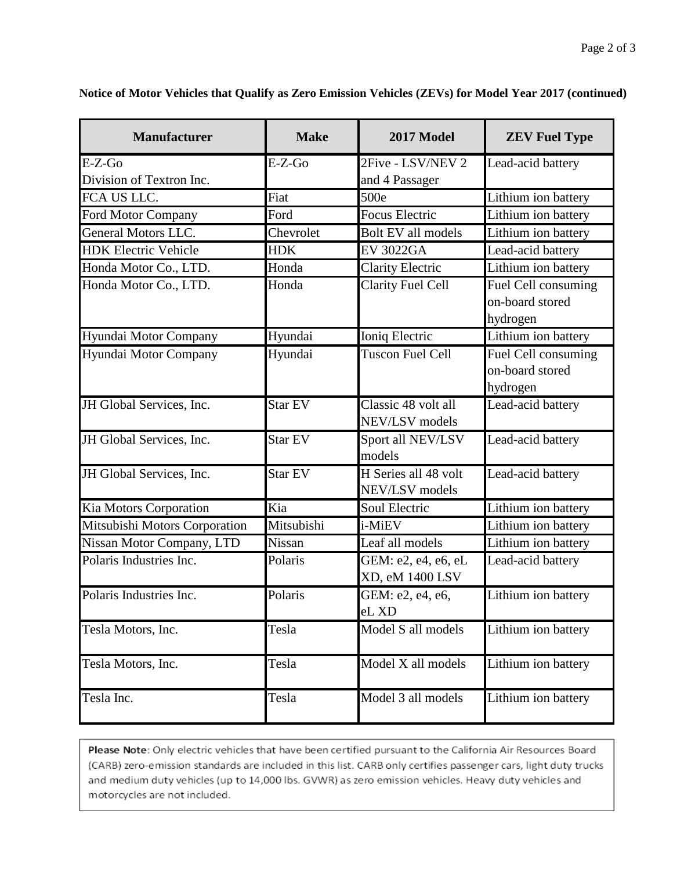| <b>Manufacturer</b>           | <b>Make</b>    | 2017 Model                             | <b>ZEV Fuel Type</b>                               |
|-------------------------------|----------------|----------------------------------------|----------------------------------------------------|
| $E-Z-Go$                      | $E-Z-Go$       | 2Five - LSV/NEV 2                      | Lead-acid battery                                  |
| Division of Textron Inc.      |                | and 4 Passager                         |                                                    |
| FCA US LLC.                   | Fiat           | 500e                                   | Lithium ion battery                                |
| <b>Ford Motor Company</b>     | Ford           | <b>Focus Electric</b>                  | Lithium ion battery                                |
| <b>General Motors LLC.</b>    | Chevrolet      | Bolt EV all models                     | Lithium ion battery                                |
| <b>HDK Electric Vehicle</b>   | <b>HDK</b>     | <b>EV 3022GA</b>                       | Lead-acid battery                                  |
| Honda Motor Co., LTD.         | Honda          | <b>Clarity Electric</b>                | Lithium ion battery                                |
| Honda Motor Co., LTD.         | Honda          | <b>Clarity Fuel Cell</b>               | Fuel Cell consuming<br>on-board stored<br>hydrogen |
| Hyundai Motor Company         | Hyundai        | Ioniq Electric                         | Lithium ion battery                                |
| Hyundai Motor Company         | Hyundai        | <b>Tuscon Fuel Cell</b>                | Fuel Cell consuming<br>on-board stored<br>hydrogen |
| JH Global Services, Inc.      | Star EV        | Classic 48 volt all<br>NEV/LSV models  | Lead-acid battery                                  |
| JH Global Services, Inc.      | <b>Star EV</b> | Sport all NEV/LSV<br>models            | Lead-acid battery                                  |
| JH Global Services, Inc.      | <b>Star EV</b> | H Series all 48 volt<br>NEV/LSV models | Lead-acid battery                                  |
| Kia Motors Corporation        | Kia            | Soul Electric                          | Lithium ion battery                                |
| Mitsubishi Motors Corporation | Mitsubishi     | i-MiEV                                 | Lithium ion battery                                |
| Nissan Motor Company, LTD     | <b>Nissan</b>  | Leaf all models                        | Lithium ion battery                                |
| Polaris Industries Inc.       | Polaris        | GEM: e2, e4, e6, eL<br>XD, eM 1400 LSV | Lead-acid battery                                  |
| Polaris Industries Inc.       | Polaris        | GEM: e2, e4, e6,<br>eL XD              | Lithium ion battery                                |
| Tesla Motors, Inc.            | Tesla          | Model S all models                     | Lithium ion battery                                |
| Tesla Motors, Inc.            | Tesla          | Model X all models                     | Lithium ion battery                                |
| Tesla Inc.                    | Tesla          | Model 3 all models                     | Lithium ion battery                                |

**Notice of Motor Vehicles that Qualify as Zero Emission Vehicles (ZEVs) for Model Year 2017 (continued)**

Please Note: Only electric vehicles that have been certified pursuant to the California Air Resources Board (CARB) zero-emission standards are included in this list. CARB only certifies passenger cars, light duty trucks and medium duty vehicles (up to 14,000 lbs. GVWR) as zero emission vehicles. Heavy duty vehicles and motorcycles are not included.